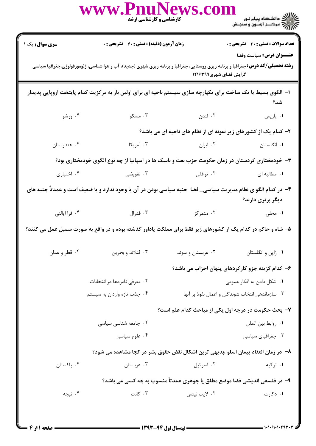|                             | WWW.Phili                    | <b>کارشناسی و کارشناسی ارشد</b>             | NEWS.CON                                                                                                       | عمالي دانشگاه پيام نور<br>الله ترکــز آزمــون و سنجـش                                                                                                                                                               |
|-----------------------------|------------------------------|---------------------------------------------|----------------------------------------------------------------------------------------------------------------|---------------------------------------------------------------------------------------------------------------------------------------------------------------------------------------------------------------------|
| سری سوال: یک ۱              |                              | زمان آزمون (دقیقه) : تستی : 60 ٪ تشریحی : 0 |                                                                                                                | <b>تعداد سوالات : تستی : 30 - تشریحی : 0</b><br>عنـــوان درس: سياست وفضا<br><b>رشته تحصیلی/کد درس:</b> جغرافیا و برنامه ریزی روستایی، جغرافیا و برنامه ریزی شهری (جدید)، آب و هوا شناسی، ژئومورفولوژی،جغرافیا سیاسی |
|                             |                              |                                             | گرایش فضای شهری۱۲۱۶۳۹۹                                                                                         |                                                                                                                                                                                                                     |
|                             |                              |                                             |                                                                                                                | ا– الگوی بسیط یا تک ساخت برای یکپارچه سازی سیستم ناحیه ای برای اولین بار به مرکزیت کدام پایتخت اروپایی پدیدار<br>شد؟                                                                                                |
| ۰۴ ورشو                     |                              | ۰۳ مسکو                                     | ۰۲ لندن است به سال ۱۳ سال ۱۳ سال ۱۳ سال ۱۳ سال ۱۳ سال ۱۳ سال ۱۳ سال ۱۳ سال ۱۳ سال ۱۳ سال ۱۳ سال ۱۳ س           | ٠١. پاريس                                                                                                                                                                                                           |
|                             |                              |                                             |                                                                                                                | ۲- کدام یک از کشورهای زیر نمونه ای از نظام های ناحیه ای می باشد؟                                                                                                                                                    |
| ۰۴ هندوستان                 |                              | ۰۳ آمریکا                                   |                                                                                                                | ۰۱ انگلستان مسلم ۲۰ ایران                                                                                                                                                                                           |
|                             |                              |                                             |                                                                                                                | ۳- خودمختاری کردستان در زمان حکومت حزب بعث و باسک ها در اسپانیا از چه نوع الگوی خودمختاری بود؟                                                                                                                      |
| ۰۴ اختیاری                  |                              |                                             | ۲ توافقی مسلمان به سال ۲۰۰۳ تفویضی مسلمان به عنوان می در استفاده به عنوان می کنیم از مناسب به عنوان کنیم که در | ۰۱ مطالبه ای                                                                                                                                                                                                        |
|                             |                              |                                             |                                                                                                                | ۴– در کدام الگو ی نظام مدیریت سیاسی_ فضا ً جنبه سیاسی بودن در آن یا وجود ندارد و یا ضعیف است و عمدتاً جنبه های<br>دیگر برتری دارند؟                                                                                 |
| ۰۴ فرا ایالتی               |                              | ۰۳ فدرال $\cdot$                            | ۰۲ متمرکز                                                                                                      | ۰۱ محلی                                                                                                                                                                                                             |
|                             |                              |                                             |                                                                                                                | ۵– شاه و حاکم در کدام یک از کشورهای زیر فقط برای مملکت یاداور گذشته بوده و در واقع به صورت سمبل عمل می کنند؟                                                                                                        |
| ۰۴ قطر و عمان               |                              | ۰۳ فنلاند و بحرين                           | ۰۲ عربستان و سوئد                                                                                              | ۰۱ ژاپن و انگلستان                                                                                                                                                                                                  |
|                             |                              |                                             |                                                                                                                | ۶- کدام گزینه جزو کارکردهای پنهان احزاب می باشد؟                                                                                                                                                                    |
|                             | ۰۲ معرفی نامزدها در انتخابات |                                             | ۰۱ شکل دادن به افکار عمومی                                                                                     |                                                                                                                                                                                                                     |
| ۰۴ جذب تازه واردان به سیستم |                              |                                             | ۰۳ سازماندهی انتخاب شوندگان و اعمال نفوذ بر آنها                                                               |                                                                                                                                                                                                                     |
|                             |                              |                                             |                                                                                                                | ۷- بحث حکومت در درجه اول یکی از مباحث کدام علم است؟                                                                                                                                                                 |
|                             | ۰۲ جامعه شناسی سیاسی         |                                             |                                                                                                                | ٠١. روابط بين الملل                                                                                                                                                                                                 |
|                             |                              | ۰۴ علوم سياسي                               |                                                                                                                | ۰۳ جغرافیای سیاسی                                                                                                                                                                                                   |
|                             |                              |                                             |                                                                                                                | ٨− در زمان انعقاد پیمان اسلو ،بدیهی ترین اشکال نقض حقوق بشر در کجا مشاهده می شود؟                                                                                                                                   |
| ۰۴ پاکستان                  |                              | ۰۳ عربستان                                  | ۰۲ اسرائيل                                                                                                     | ۰۱ ترکیه                                                                                                                                                                                                            |
|                             |                              |                                             |                                                                                                                | ۹- در فلسفی اندیشی فضا موضع مطلق یا جوهری عمدتاً منسوب به چه کسی می باشد؟                                                                                                                                           |
| ۰۴ نیچه                     |                              | ۰۳ کانت                                     | ۰۲ لايب نيتس                                                                                                   | ۰۱ دکارت                                                                                                                                                                                                            |
|                             |                              |                                             |                                                                                                                |                                                                                                                                                                                                                     |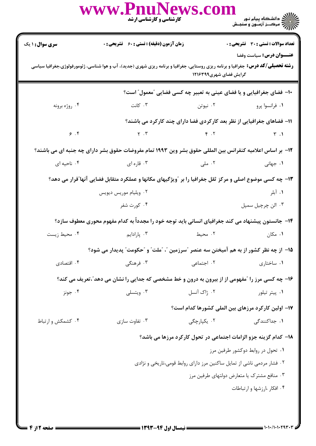|                                                                                                 | www.PnuNews.com<br>کارشناسی و کارشناسی ارشد                                                                                             |                        | ے :<br>حکالات دانشگاہ پیام نور<br>حکالات مرکبز آزمیوں و سنجش                 |  |  |
|-------------------------------------------------------------------------------------------------|-----------------------------------------------------------------------------------------------------------------------------------------|------------------------|------------------------------------------------------------------------------|--|--|
| <b>سری سوال : ۱ یک</b>                                                                          | زمان آزمون (دقیقه) : تستی : 60 ٪ تشریحی : 0                                                                                             |                        | <b>تعداد سوالات : تستي : 30 ٪ تشريحي : 0</b>                                 |  |  |
|                                                                                                 | <b>رشته تحصیلی/کد درس:</b> جغرافیا و برنامه ریزی روستایی، جغرافیا و برنامه ریزی شهری (جدید)، آب و هوا شناسی، ژئومورفولوژی،جغرافیا سیاسی | گرایش فضای شهری۱۲۱۶۳۹۹ | عنـــوان درس: سياست وفضا                                                     |  |  |
|                                                                                                 |                                                                                                                                         |                        | <b>۱۰</b> - فضای جغرافیایی و یا فضای عینی به تعبیر چه کسی فضایی "معمول" است؟ |  |  |
| ۰۴ روژه برونه                                                                                   | اس کانت $\cdot$ ۳ .                                                                                                                     | ۰۲ نیوتن               | ۰۱ فرانسوا پرو                                                               |  |  |
|                                                                                                 |                                                                                                                                         |                        | 11- فضاهای جغرافیایی از نظر بعد کارکردی فضا دارای چند کارکرد می باشند؟       |  |  |
| 9.9                                                                                             |                                                                                                                                         | $\gamma$ . $\gamma$    | $\uparrow$ . $\uparrow$                                                      |  |  |
|                                                                                                 | 1۲- بر اساس اعلامیه کنفرانس بین المللی حقوق بشر وین ۱۹۹۳ تمام مفروضات حقوق بشر دارای چه جنبه ای می باشند؟                               |                        |                                                                              |  |  |
| ۰۴ ناحیه ای                                                                                     | ۰۳ قاره ای                                                                                                                              | ۰۲ ملی مللی به است     | ۰۱ جهانی                                                                     |  |  |
|                                                                                                 | ۱۳- چه کسی موضوع اصلی و مرکز ثقل جغرافیا را بر آویژگیهای مکانها و عملکرد متقابل فضایی آنها ّقرار می دهد؟                                |                        |                                                                              |  |  |
|                                                                                                 | ۰۲ ویلیام موریس دیویس                                                                                                                   |                        | ۰۱ آبلر                                                                      |  |  |
|                                                                                                 | ۰۴ کورت شفر                                                                                                                             |                        | ۰۳ الن چرچيل سمپل                                                            |  |  |
|                                                                                                 | ۱۴– جانستون پیشنهاد می کند جغرافیای انسانی باید توجه خود را مجدداً به کدام مفهوم محوری معطوف سازد؟                                      |                        |                                                                              |  |  |
| ۰۴ محیط زیست                                                                                    | ۰۳ پارادايم                                                                                                                             | ۰۲ محیط                | ۰۱ مکان                                                                      |  |  |
|                                                                                                 | ۱۵− از چه نظر کشور از به هم آمیختن سه عنصر ″سرزمین ″، ″ملت″ و ″حکومت″ پدیدار می شود؟                                                    |                        |                                                                              |  |  |
| ۰۴ اقتصادی                                                                                      | ۰۳ فرهنگی                                                                                                                               | ۰۲ اجتماعی             | ۰۱ ساختاری                                                                   |  |  |
| ۱۶- چه کسی مرز را آمفهومی از از بیرون به درون و خط مشخصی که جدایی را نشان می دهدآ،تعریف می کند؟ |                                                                                                                                         |                        |                                                                              |  |  |
| ۰۴ جونز                                                                                         | ۰۳ ویتسلی                                                                                                                               | ۰۲ ژاک آنسل            | ۰۱ پیتر تیلور                                                                |  |  |
|                                                                                                 |                                                                                                                                         |                        | ۱۷– اولین کارکرد مرزهای بین الملی کشورها کدام است؟                           |  |  |
| ۰۴ کشمکش و ارتباط                                                                               | ۰۳ تفاوت سازی                                                                                                                           | ۰۲ يکپارچگ <i>ي</i>    | ۱. جداکنندگی                                                                 |  |  |
|                                                                                                 |                                                                                                                                         |                        | ۱۸– کدام گزینه جزو الزامات اجتماعی در تحول کارکرد مرزها می باشد؟             |  |  |
| ۰۱ تحول در روابط دوکشور طرفین مرز                                                               |                                                                                                                                         |                        |                                                                              |  |  |
| ۰۲ فشار مردمی ناشی از تمایل ساکنین مرز دارای روابط قومی،تاریخی و نژادی                          |                                                                                                                                         |                        |                                                                              |  |  |
| ۰۳ منافع مشترک یا متعارض دولتهای طرفین مرز                                                      |                                                                                                                                         |                        |                                                                              |  |  |
|                                                                                                 |                                                                                                                                         |                        | ۰۴ افکار ،ارزشها و ارتباطات                                                  |  |  |
|                                                                                                 |                                                                                                                                         |                        |                                                                              |  |  |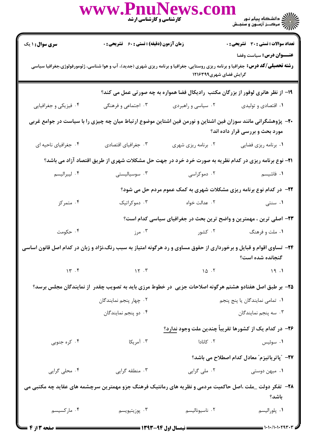| <b>تعداد سوالات : تستی : 30 ٪ تشریحی : 0</b><br><b>سری سوال :</b> ۱ یک<br><b>زمان آزمون (دقیقه) : تستی : 60 ٪ تشریحی : 0</b><br>عنــوان درس: سياست وفضا<br><b>رشته تحصیلی/کد درس:</b> جغرافیا و برنامه ریزی روستایی، جغرافیا و برنامه ریزی شهری (جدید)، آب و هوا شناسی، ژئومورفولوژی،جغرافیا سیاسی<br>گرایش فضای شهری۱۲۱۶۳۹۹<br>۱۹- از نظر هانری لوفور از بزرگان مکتب رادیکال فضا همواره به چه صورتی عمل می کند؟<br>۰۴ فیزیکی و جغرافیایی<br>۰۳ اجتماعی و فرهنگی<br>۰۱ اقتصادی و تولیدی<br>۰۲ سیاسی و راهبردی<br>+۲- پژوهشگرانی مانند سوزان فین اشتاین و نورمن فین اشتاین موضوع ارتباط میان چه چیزی را با سیاست در جوامع غربی<br>مورد بحث و بررسی قرار داده اند؟<br>۰۴ جغرافیای ناحیه ای<br>۰۳ جغرافیای اقتصادی<br>۰۲ برنامه ریزی شهری<br>٠١ برنامه ريزي فضايي<br><b>۲۱</b> - نوع برنامه ریزی در کدام نظریه به صورت خرد خرد در جهت حل مشکلات شهری از طریق اقتصاد آزاد می باشد؟<br>۰۴ ليبراليسم<br>۰۳ سوسیالیستی<br>۰۲ دموکراسی<br>۰۱ فاشیسم<br><b>۲۲</b> - در کدام نوع برنامه ریزی مشکلات شهری به کمک عموم مردم حل می شود؟<br>۰۴ متمرکز<br>۰۳ دموکراتیک<br>۰۲ عدالت خواه<br>۰۱ سنتی<br>۲۳- اصلی ترین ، مهمترین و واضح ترین بحث در جغرافیای سیاسی کدام است؟<br>۰۴ حکومت<br>۰۳ مرز<br>۰۲ کشور<br>۰۱ ملت و فرهنگ<br>۲۴- تساوی اقوام و قبایل و برخورداری از حقوق مساوی و رد هرگونه امتیاز به سبب رنگ،نژاد و زبان در کدام اصل قانون اساسی<br>گنجانده شده است؟<br>15.5<br>$\gamma \gamma$ . $\gamma$<br>10.7<br>19.1<br>۲۵– بر طبق اصل هفتادو هشتم هرگونه اصلاحات جزیی در خطوط مرزی باید به تصویب چقدر ًاز نمایندگان مجلس برسد؟<br>۰۲ چهار پنجم نمایندگان<br>۰۱ تمامی نمایندگان یا پنج پنجم<br>۰۴ دو پنجم نمایندگان<br>۰۳ سه پنجم نمایندگان<br>۲۶– در کدام یک از کشورها تقریباً چندین ملت وجود ندارد؟<br>۰۳ آمریکا<br>۰۲ کانادا<br>۰۴ کره جنوبی<br>۰۱ سوئیس<br><b>۲۷</b> – ″پاتریاتیزم″ معادل کدام اصطلاح می باشد؟<br>۰۴ محلی گرایی<br>۰۳ منطقه گرایی<br>۰۲ ملی گرایی<br>۰۱ میهن دوستی<br>۲۸– تفکر دولت _ملت ،اصل حاکمیت مردمی و نظریه های رمانتیک فرهنگ جزو مهمترین سرچشمه های عقاید چه مکتبی می<br>باشد؟<br>۰۳ پوزیتیویسم<br>۰۴ مارکسیسم<br>۰۲ ناسيوناليسم<br>٠١. پلوراليسم |  | <b>کارشناسی و کارشناسی ارشد</b> | www.PnuNew |  |  |  |
|-------------------------------------------------------------------------------------------------------------------------------------------------------------------------------------------------------------------------------------------------------------------------------------------------------------------------------------------------------------------------------------------------------------------------------------------------------------------------------------------------------------------------------------------------------------------------------------------------------------------------------------------------------------------------------------------------------------------------------------------------------------------------------------------------------------------------------------------------------------------------------------------------------------------------------------------------------------------------------------------------------------------------------------------------------------------------------------------------------------------------------------------------------------------------------------------------------------------------------------------------------------------------------------------------------------------------------------------------------------------------------------------------------------------------------------------------------------------------------------------------------------------------------------------------------------------------------------------------------------------------------------------------------------------------------------------------------------------------------------------------------------------------------------------------------------------------------------------------------------------------------------------------------------------------------------------------------------------------------------------------------------------------------------------------------------------------|--|---------------------------------|------------|--|--|--|
|                                                                                                                                                                                                                                                                                                                                                                                                                                                                                                                                                                                                                                                                                                                                                                                                                                                                                                                                                                                                                                                                                                                                                                                                                                                                                                                                                                                                                                                                                                                                                                                                                                                                                                                                                                                                                                                                                                                                                                                                                                                                         |  |                                 |            |  |  |  |
|                                                                                                                                                                                                                                                                                                                                                                                                                                                                                                                                                                                                                                                                                                                                                                                                                                                                                                                                                                                                                                                                                                                                                                                                                                                                                                                                                                                                                                                                                                                                                                                                                                                                                                                                                                                                                                                                                                                                                                                                                                                                         |  |                                 |            |  |  |  |
|                                                                                                                                                                                                                                                                                                                                                                                                                                                                                                                                                                                                                                                                                                                                                                                                                                                                                                                                                                                                                                                                                                                                                                                                                                                                                                                                                                                                                                                                                                                                                                                                                                                                                                                                                                                                                                                                                                                                                                                                                                                                         |  |                                 |            |  |  |  |
|                                                                                                                                                                                                                                                                                                                                                                                                                                                                                                                                                                                                                                                                                                                                                                                                                                                                                                                                                                                                                                                                                                                                                                                                                                                                                                                                                                                                                                                                                                                                                                                                                                                                                                                                                                                                                                                                                                                                                                                                                                                                         |  |                                 |            |  |  |  |
|                                                                                                                                                                                                                                                                                                                                                                                                                                                                                                                                                                                                                                                                                                                                                                                                                                                                                                                                                                                                                                                                                                                                                                                                                                                                                                                                                                                                                                                                                                                                                                                                                                                                                                                                                                                                                                                                                                                                                                                                                                                                         |  |                                 |            |  |  |  |
|                                                                                                                                                                                                                                                                                                                                                                                                                                                                                                                                                                                                                                                                                                                                                                                                                                                                                                                                                                                                                                                                                                                                                                                                                                                                                                                                                                                                                                                                                                                                                                                                                                                                                                                                                                                                                                                                                                                                                                                                                                                                         |  |                                 |            |  |  |  |
|                                                                                                                                                                                                                                                                                                                                                                                                                                                                                                                                                                                                                                                                                                                                                                                                                                                                                                                                                                                                                                                                                                                                                                                                                                                                                                                                                                                                                                                                                                                                                                                                                                                                                                                                                                                                                                                                                                                                                                                                                                                                         |  |                                 |            |  |  |  |
|                                                                                                                                                                                                                                                                                                                                                                                                                                                                                                                                                                                                                                                                                                                                                                                                                                                                                                                                                                                                                                                                                                                                                                                                                                                                                                                                                                                                                                                                                                                                                                                                                                                                                                                                                                                                                                                                                                                                                                                                                                                                         |  |                                 |            |  |  |  |
|                                                                                                                                                                                                                                                                                                                                                                                                                                                                                                                                                                                                                                                                                                                                                                                                                                                                                                                                                                                                                                                                                                                                                                                                                                                                                                                                                                                                                                                                                                                                                                                                                                                                                                                                                                                                                                                                                                                                                                                                                                                                         |  |                                 |            |  |  |  |
|                                                                                                                                                                                                                                                                                                                                                                                                                                                                                                                                                                                                                                                                                                                                                                                                                                                                                                                                                                                                                                                                                                                                                                                                                                                                                                                                                                                                                                                                                                                                                                                                                                                                                                                                                                                                                                                                                                                                                                                                                                                                         |  |                                 |            |  |  |  |
|                                                                                                                                                                                                                                                                                                                                                                                                                                                                                                                                                                                                                                                                                                                                                                                                                                                                                                                                                                                                                                                                                                                                                                                                                                                                                                                                                                                                                                                                                                                                                                                                                                                                                                                                                                                                                                                                                                                                                                                                                                                                         |  |                                 |            |  |  |  |
|                                                                                                                                                                                                                                                                                                                                                                                                                                                                                                                                                                                                                                                                                                                                                                                                                                                                                                                                                                                                                                                                                                                                                                                                                                                                                                                                                                                                                                                                                                                                                                                                                                                                                                                                                                                                                                                                                                                                                                                                                                                                         |  |                                 |            |  |  |  |
|                                                                                                                                                                                                                                                                                                                                                                                                                                                                                                                                                                                                                                                                                                                                                                                                                                                                                                                                                                                                                                                                                                                                                                                                                                                                                                                                                                                                                                                                                                                                                                                                                                                                                                                                                                                                                                                                                                                                                                                                                                                                         |  |                                 |            |  |  |  |
|                                                                                                                                                                                                                                                                                                                                                                                                                                                                                                                                                                                                                                                                                                                                                                                                                                                                                                                                                                                                                                                                                                                                                                                                                                                                                                                                                                                                                                                                                                                                                                                                                                                                                                                                                                                                                                                                                                                                                                                                                                                                         |  |                                 |            |  |  |  |
|                                                                                                                                                                                                                                                                                                                                                                                                                                                                                                                                                                                                                                                                                                                                                                                                                                                                                                                                                                                                                                                                                                                                                                                                                                                                                                                                                                                                                                                                                                                                                                                                                                                                                                                                                                                                                                                                                                                                                                                                                                                                         |  |                                 |            |  |  |  |
|                                                                                                                                                                                                                                                                                                                                                                                                                                                                                                                                                                                                                                                                                                                                                                                                                                                                                                                                                                                                                                                                                                                                                                                                                                                                                                                                                                                                                                                                                                                                                                                                                                                                                                                                                                                                                                                                                                                                                                                                                                                                         |  |                                 |            |  |  |  |
|                                                                                                                                                                                                                                                                                                                                                                                                                                                                                                                                                                                                                                                                                                                                                                                                                                                                                                                                                                                                                                                                                                                                                                                                                                                                                                                                                                                                                                                                                                                                                                                                                                                                                                                                                                                                                                                                                                                                                                                                                                                                         |  |                                 |            |  |  |  |
|                                                                                                                                                                                                                                                                                                                                                                                                                                                                                                                                                                                                                                                                                                                                                                                                                                                                                                                                                                                                                                                                                                                                                                                                                                                                                                                                                                                                                                                                                                                                                                                                                                                                                                                                                                                                                                                                                                                                                                                                                                                                         |  |                                 |            |  |  |  |
|                                                                                                                                                                                                                                                                                                                                                                                                                                                                                                                                                                                                                                                                                                                                                                                                                                                                                                                                                                                                                                                                                                                                                                                                                                                                                                                                                                                                                                                                                                                                                                                                                                                                                                                                                                                                                                                                                                                                                                                                                                                                         |  |                                 |            |  |  |  |
|                                                                                                                                                                                                                                                                                                                                                                                                                                                                                                                                                                                                                                                                                                                                                                                                                                                                                                                                                                                                                                                                                                                                                                                                                                                                                                                                                                                                                                                                                                                                                                                                                                                                                                                                                                                                                                                                                                                                                                                                                                                                         |  |                                 |            |  |  |  |
|                                                                                                                                                                                                                                                                                                                                                                                                                                                                                                                                                                                                                                                                                                                                                                                                                                                                                                                                                                                                                                                                                                                                                                                                                                                                                                                                                                                                                                                                                                                                                                                                                                                                                                                                                                                                                                                                                                                                                                                                                                                                         |  |                                 |            |  |  |  |
|                                                                                                                                                                                                                                                                                                                                                                                                                                                                                                                                                                                                                                                                                                                                                                                                                                                                                                                                                                                                                                                                                                                                                                                                                                                                                                                                                                                                                                                                                                                                                                                                                                                                                                                                                                                                                                                                                                                                                                                                                                                                         |  |                                 |            |  |  |  |
|                                                                                                                                                                                                                                                                                                                                                                                                                                                                                                                                                                                                                                                                                                                                                                                                                                                                                                                                                                                                                                                                                                                                                                                                                                                                                                                                                                                                                                                                                                                                                                                                                                                                                                                                                                                                                                                                                                                                                                                                                                                                         |  |                                 |            |  |  |  |